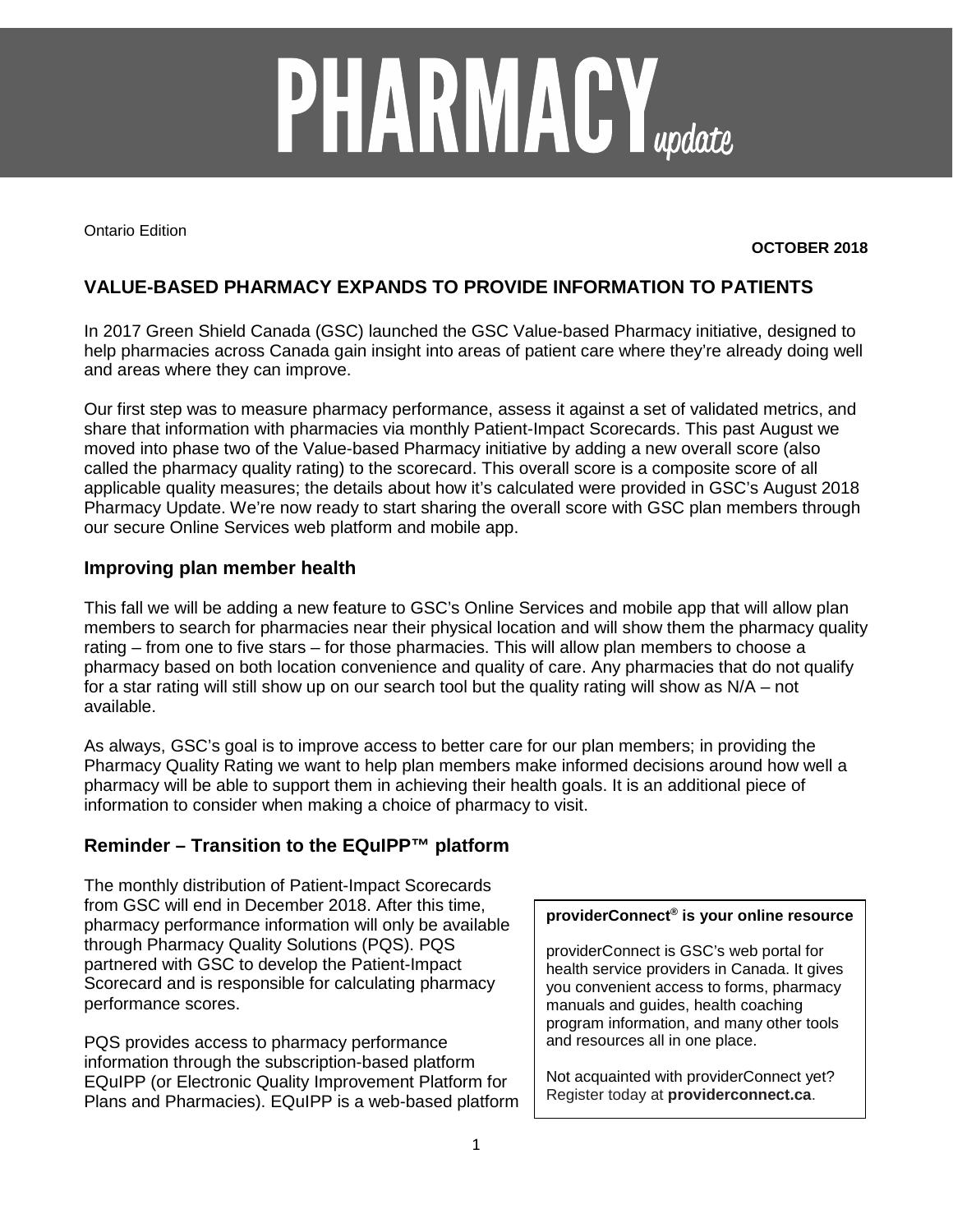# **PHARMACY**<sub>update</sub>

Ontario Edition

### **OCTOBER 2018**

# **VALUE-BASED PHARMACY EXPANDS TO PROVIDE INFORMATION TO PATIENTS**

In 2017 Green Shield Canada (GSC) launched the GSC Value-based Pharmacy initiative, designed to help pharmacies across Canada gain insight into areas of patient care where they're already doing well and areas where they can improve.

Our first step was to measure pharmacy performance, assess it against a set of validated metrics, and share that information with pharmacies via monthly Patient-Impact Scorecards. This past August we moved into phase two of the Value-based Pharmacy initiative by adding a new overall score (also called the pharmacy quality rating) to the scorecard. This overall score is a composite score of all applicable quality measures; the details about how it's calculated were provided in GSC's August 2018 Pharmacy Update. We're now ready to start sharing the overall score with GSC plan members through our secure Online Services web platform and mobile app.

### **Improving plan member health**

This fall we will be adding a new feature to GSC's Online Services and mobile app that will allow plan members to search for pharmacies near their physical location and will show them the pharmacy quality rating – from one to five stars – for those pharmacies. This will allow plan members to choose a pharmacy based on both location convenience and quality of care. Any pharmacies that do not qualify for a star rating will still show up on our search tool but the quality rating will show as N/A – not available.

As always, GSC's goal is to improve access to better care for our plan members; in providing the Pharmacy Quality Rating we want to help plan members make informed decisions around how well a pharmacy will be able to support them in achieving their health goals. It is an additional piece of information to consider when making a choice of pharmacy to visit.

## **Reminder – Transition to the EQuIPP™ platform**

The monthly distribution of Patient-Impact Scorecards from GSC will end in December 2018. After this time, pharmacy performance information will only be available through Pharmacy Quality Solutions (PQS). PQS partnered with GSC to develop the Patient-Impact Scorecard and is responsible for calculating pharmacy performance scores.

PQS provides access to pharmacy performance information through the subscription-based platform EQuIPP (or Electronic Quality Improvement Platform for Plans and Pharmacies). EQuIPP is a web-based platform

### **providerConnect® is your online resource**

providerConnect is GSC's web portal for health service providers in Canada. It gives you convenient access to forms, pharmacy manuals and guides, health coaching program information, and many other tools and resources all in one place.

Not acquainted with providerConnect yet? Register today at **providerconnect.ca**.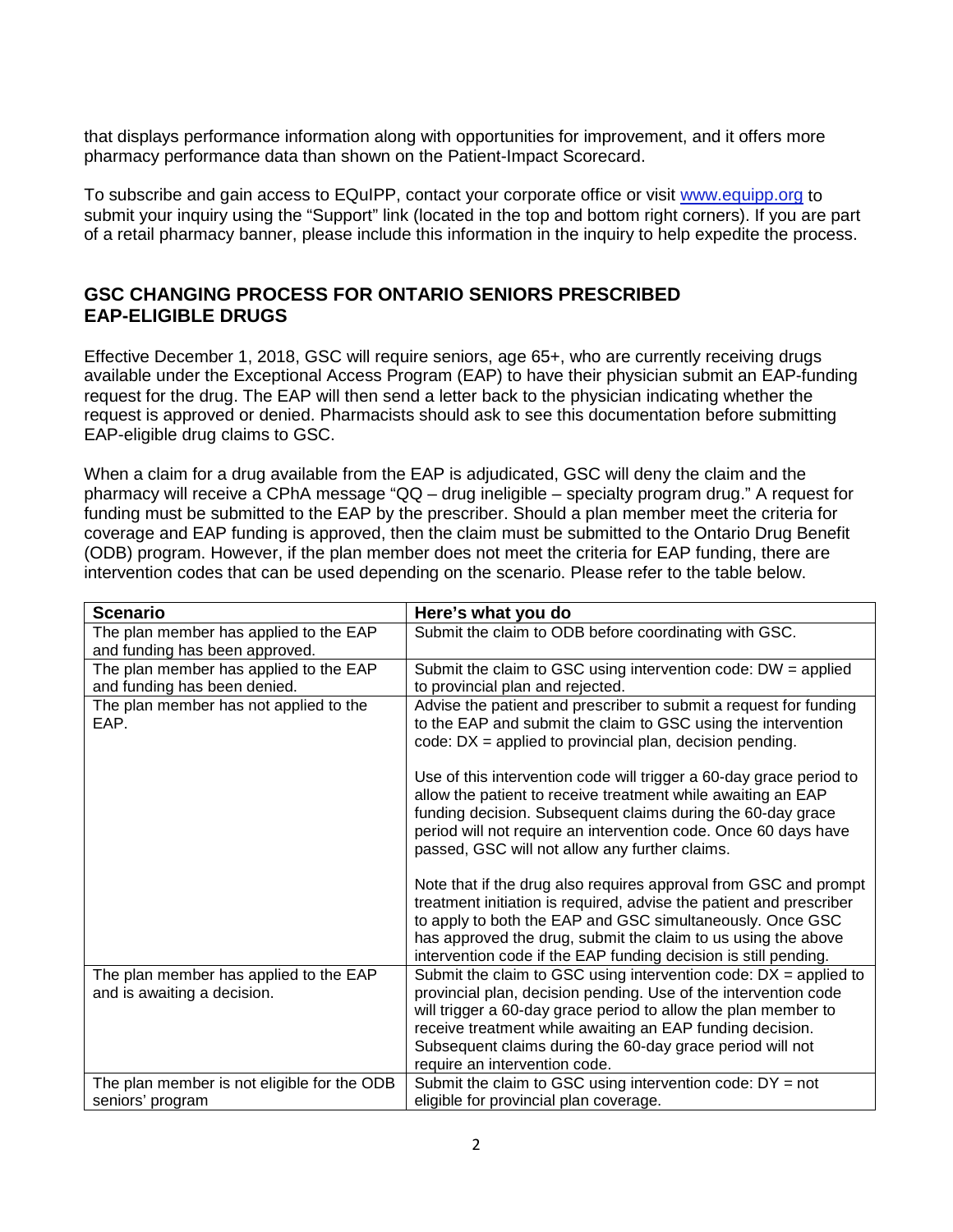that displays performance information along with opportunities for improvement, and it offers more pharmacy performance data than shown on the Patient-Impact Scorecard.

To subscribe and gain access to EQuIPP, contact your corporate office or visit [www.equipp.org](http://www.equipp.org/) to submit your inquiry using the "Support" link (located in the top and bottom right corners). If you are part of a retail pharmacy banner, please include this information in the inquiry to help expedite the process.

## **GSC CHANGING PROCESS FOR ONTARIO SENIORS PRESCRIBED EAP-ELIGIBLE DRUGS**

Effective December 1, 2018, GSC will require seniors, age 65+, who are currently receiving drugs available under the Exceptional Access Program (EAP) to have their physician submit an EAP-funding request for the drug. The EAP will then send a letter back to the physician indicating whether the request is approved or denied. Pharmacists should ask to see this documentation before submitting EAP-eligible drug claims to GSC.

When a claim for a drug available from the EAP is adjudicated, GSC will deny the claim and the pharmacy will receive a CPhA message "QQ – drug ineligible – specialty program drug." A request for funding must be submitted to the EAP by the prescriber. Should a plan member meet the criteria for coverage and EAP funding is approved, then the claim must be submitted to the Ontario Drug Benefit (ODB) program. However, if the plan member does not meet the criteria for EAP funding, there are intervention codes that can be used depending on the scenario. Please refer to the table below.

| <b>Scenario</b>                                                          | Here's what you do                                                                                                                                                                                                                                                                                                                                                                                                                                                                                                          |
|--------------------------------------------------------------------------|-----------------------------------------------------------------------------------------------------------------------------------------------------------------------------------------------------------------------------------------------------------------------------------------------------------------------------------------------------------------------------------------------------------------------------------------------------------------------------------------------------------------------------|
| The plan member has applied to the EAP<br>and funding has been approved. | Submit the claim to ODB before coordinating with GSC.                                                                                                                                                                                                                                                                                                                                                                                                                                                                       |
| The plan member has applied to the EAP<br>and funding has been denied.   | Submit the claim to GSC using intervention code: $DW =$ applied<br>to provincial plan and rejected.                                                                                                                                                                                                                                                                                                                                                                                                                         |
| The plan member has not applied to the<br>EAP.                           | Advise the patient and prescriber to submit a request for funding<br>to the EAP and submit the claim to GSC using the intervention<br>code: $DX = applied$ to provincial plan, decision pending.<br>Use of this intervention code will trigger a 60-day grace period to<br>allow the patient to receive treatment while awaiting an EAP<br>funding decision. Subsequent claims during the 60-day grace<br>period will not require an intervention code. Once 60 days have<br>passed, GSC will not allow any further claims. |
|                                                                          | Note that if the drug also requires approval from GSC and prompt<br>treatment initiation is required, advise the patient and prescriber<br>to apply to both the EAP and GSC simultaneously. Once GSC<br>has approved the drug, submit the claim to us using the above<br>intervention code if the EAP funding decision is still pending.                                                                                                                                                                                    |
| The plan member has applied to the EAP<br>and is awaiting a decision.    | Submit the claim to GSC using intervention code: $DX = applied$ to<br>provincial plan, decision pending. Use of the intervention code<br>will trigger a 60-day grace period to allow the plan member to<br>receive treatment while awaiting an EAP funding decision.<br>Subsequent claims during the 60-day grace period will not<br>require an intervention code.                                                                                                                                                          |
| The plan member is not eligible for the ODB<br>seniors' program          | Submit the claim to GSC using intervention code: $DY = not$<br>eligible for provincial plan coverage.                                                                                                                                                                                                                                                                                                                                                                                                                       |